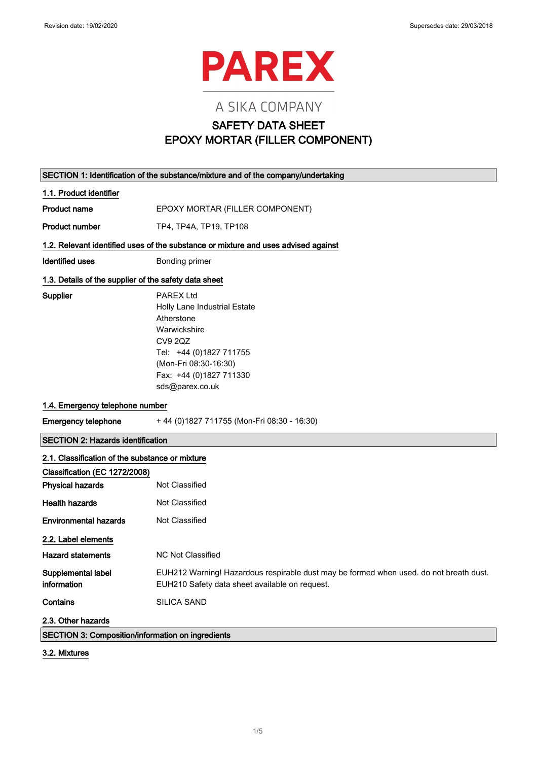

# A SIKA COMPANY SAFETY DATA SHEET EPOXY MORTAR (FILLER COMPONENT)

|                                                       | SECTION 1: Identification of the substance/mixture and of the company/undertaking                                                                                                                  |  |
|-------------------------------------------------------|----------------------------------------------------------------------------------------------------------------------------------------------------------------------------------------------------|--|
| 1.1. Product identifier                               |                                                                                                                                                                                                    |  |
| <b>Product name</b>                                   | EPOXY MORTAR (FILLER COMPONENT)                                                                                                                                                                    |  |
| <b>Product number</b>                                 | TP4, TP4A, TP19, TP108                                                                                                                                                                             |  |
|                                                       | 1.2. Relevant identified uses of the substance or mixture and uses advised against                                                                                                                 |  |
| <b>Identified uses</b>                                | Bonding primer                                                                                                                                                                                     |  |
| 1.3. Details of the supplier of the safety data sheet |                                                                                                                                                                                                    |  |
| Supplier                                              | <b>PAREX Ltd</b><br>Holly Lane Industrial Estate<br>Atherstone<br>Warwickshire<br><b>CV9 2QZ</b><br>Tel: +44 (0)1827 711755<br>(Mon-Fri 08:30-16:30)<br>Fax: +44 (0)1827 711330<br>sds@parex.co.uk |  |
| 1.4. Emergency telephone number                       |                                                                                                                                                                                                    |  |
| <b>Emergency telephone</b>                            | +44 (0) 1827 711755 (Mon-Fri 08:30 - 16:30)                                                                                                                                                        |  |
| <b>SECTION 2: Hazards identification</b>              |                                                                                                                                                                                                    |  |
| 2.1. Classification of the substance or mixture       |                                                                                                                                                                                                    |  |
| Classification (EC 1272/2008)                         |                                                                                                                                                                                                    |  |
| <b>Physical hazards</b>                               | Not Classified                                                                                                                                                                                     |  |
| <b>Health hazards</b>                                 | Not Classified                                                                                                                                                                                     |  |
| <b>Environmental hazards</b>                          | Not Classified                                                                                                                                                                                     |  |
| 2.2. Label elements                                   |                                                                                                                                                                                                    |  |
| <b>Hazard statements</b>                              | <b>NC Not Classified</b>                                                                                                                                                                           |  |
| Supplemental label<br>information                     | EUH212 Warning! Hazardous respirable dust may be formed when used. do not breath dust.<br>EUH210 Safety data sheet available on request.                                                           |  |
| Contains                                              | SILICA SAND                                                                                                                                                                                        |  |
| 2.3. Other hazards                                    |                                                                                                                                                                                                    |  |
| SECTION 3: Composition/information on ingredients     |                                                                                                                                                                                                    |  |

3.2. Mixtures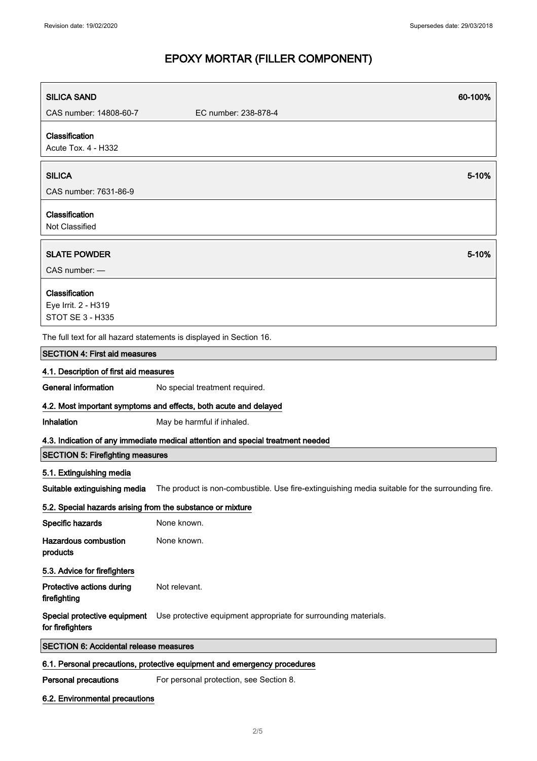| <b>SILICA SAND</b>                                         | 60-100%                                                                                         |
|------------------------------------------------------------|-------------------------------------------------------------------------------------------------|
| CAS number: 14808-60-7                                     | EC number: 238-878-4                                                                            |
| Classification<br>Acute Tox. 4 - H332                      |                                                                                                 |
| <b>SILICA</b>                                              | 5-10%                                                                                           |
| CAS number: 7631-86-9                                      |                                                                                                 |
| Classification<br>Not Classified                           |                                                                                                 |
| <b>SLATE POWDER</b><br>CAS number: -                       | 5-10%                                                                                           |
|                                                            |                                                                                                 |
| Classification                                             |                                                                                                 |
| Eye Irrit. 2 - H319<br><b>STOT SE 3 - H335</b>             |                                                                                                 |
|                                                            | The full text for all hazard statements is displayed in Section 16.                             |
| <b>SECTION 4: First aid measures</b>                       |                                                                                                 |
| 4.1. Description of first aid measures                     |                                                                                                 |
| <b>General information</b>                                 | No special treatment required.                                                                  |
|                                                            | 4.2. Most important symptoms and effects, both acute and delayed                                |
| Inhalation                                                 | May be harmful if inhaled.                                                                      |
|                                                            | 4.3. Indication of any immediate medical attention and special treatment needed                 |
| <b>SECTION 5: Firefighting measures</b>                    |                                                                                                 |
| 5.1. Extinguishing media                                   |                                                                                                 |
| Suitable extinguishing media                               | The product is non-combustible. Use fire-extinguishing media suitable for the surrounding fire. |
| 5.2. Special hazards arising from the substance or mixture |                                                                                                 |
| Specific hazards                                           | None known.                                                                                     |
| <b>Hazardous combustion</b><br>products                    | None known.                                                                                     |
| 5.3. Advice for firefighters                               |                                                                                                 |
| Protective actions during<br>firefighting                  | Not relevant.                                                                                   |
| Special protective equipment<br>for firefighters           | Use protective equipment appropriate for surrounding materials.                                 |
| <b>SECTION 6: Accidental release measures</b>              |                                                                                                 |
|                                                            | 6.1. Personal precautions, protective equipment and emergency procedures                        |
| <b>Personal precautions</b>                                | For personal protection, see Section 8.                                                         |

6.2. Environmental precautions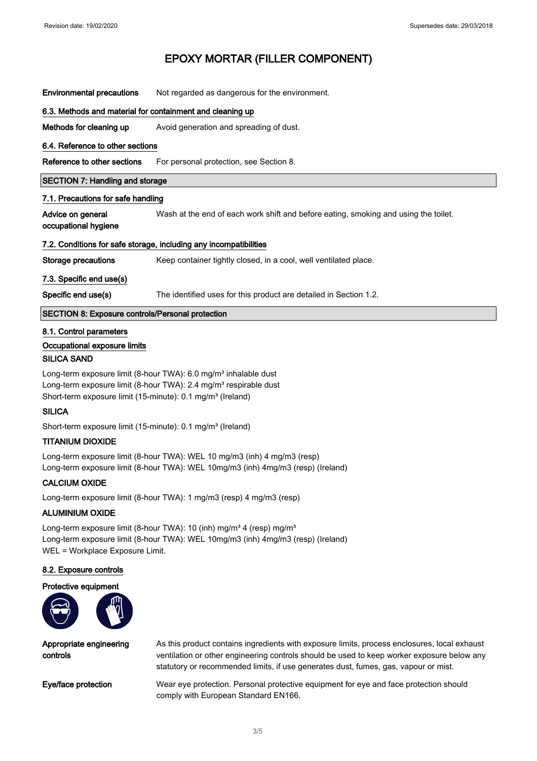| <b>Environmental precautions</b>                                                                                                                                                                                                      | Not regarded as dangerous for the environment.                                      |  |
|---------------------------------------------------------------------------------------------------------------------------------------------------------------------------------------------------------------------------------------|-------------------------------------------------------------------------------------|--|
| 6.3. Methods and material for containment and cleaning up                                                                                                                                                                             |                                                                                     |  |
| Methods for cleaning up                                                                                                                                                                                                               | Avoid generation and spreading of dust.                                             |  |
| 6.4. Reference to other sections                                                                                                                                                                                                      |                                                                                     |  |
| Reference to other sections                                                                                                                                                                                                           | For personal protection, see Section 8.                                             |  |
| <b>SECTION 7: Handling and storage</b>                                                                                                                                                                                                |                                                                                     |  |
| 7.1. Precautions for safe handling                                                                                                                                                                                                    |                                                                                     |  |
| Advice on general<br>occupational hygiene                                                                                                                                                                                             | Wash at the end of each work shift and before eating, smoking and using the toilet. |  |
|                                                                                                                                                                                                                                       | 7.2. Conditions for safe storage, including any incompatibilities                   |  |
| <b>Storage precautions</b>                                                                                                                                                                                                            | Keep container tightly closed, in a cool, well ventilated place.                    |  |
| 7.3. Specific end use(s)                                                                                                                                                                                                              |                                                                                     |  |
| Specific end use(s)                                                                                                                                                                                                                   | The identified uses for this product are detailed in Section 1.2.                   |  |
| SECTION 8: Exposure controls/Personal protection                                                                                                                                                                                      |                                                                                     |  |
| 8.1. Control parameters<br>Occupational exposure limits<br><b>SILICA SAND</b>                                                                                                                                                         |                                                                                     |  |
| Long-term exposure limit (8-hour TWA): 6.0 mg/m <sup>3</sup> inhalable dust<br>Long-term exposure limit (8-hour TWA): 2.4 mg/m <sup>3</sup> respirable dust<br>Short-term exposure limit (15-minute): 0.1 mg/m <sup>3</sup> (Ireland) |                                                                                     |  |
| <b>SILICA</b>                                                                                                                                                                                                                         |                                                                                     |  |

Short-term exposure limit (15-minute): 0.1 mg/m<sup>3</sup> (Ireland)

### TITANIUM DIOXIDE

Long-term exposure limit (8-hour TWA): WEL 10 mg/m3 (inh) 4 mg/m3 (resp) Long-term exposure limit (8-hour TWA): WEL 10mg/m3 (inh) 4mg/m3 (resp) (Ireland)

### CALCIUM OXIDE

Long-term exposure limit (8-hour TWA): 1 mg/m3 (resp) 4 mg/m3 (resp)

### ALUMINIUM OXIDE

Long-term exposure limit (8-hour TWA): 10 (inh) mg/m<sup>3</sup> 4 (resp) mg/m<sup>3</sup> Long-term exposure limit (8-hour TWA): WEL 10mg/m3 (inh) 4mg/m3 (resp) (Ireland) WEL = Workplace Exposure Limit.

#### 8.2. Exposure controls

### Protective equipment



Appropriate engineering controls

As this product contains ingredients with exposure limits, process enclosures, local exhaust ventilation or other engineering controls should be used to keep worker exposure below any statutory or recommended limits, if use generates dust, fumes, gas, vapour or mist.

Eye/face protection Wear eye protection. Personal protective equipment for eye and face protection should comply with European Standard EN166.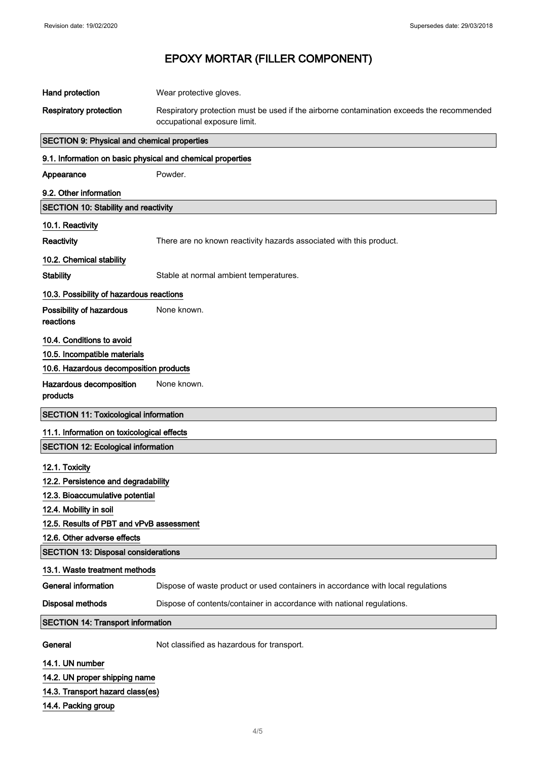| Hand protection                                            | Wear protective gloves.                                                                   |  |
|------------------------------------------------------------|-------------------------------------------------------------------------------------------|--|
| <b>Respiratory protection</b>                              | Respiratory protection must be used if the airborne contamination exceeds the recommended |  |
|                                                            | occupational exposure limit.                                                              |  |
| <b>SECTION 9: Physical and chemical properties</b>         |                                                                                           |  |
| 9.1. Information on basic physical and chemical properties |                                                                                           |  |
| Appearance                                                 | Powder.                                                                                   |  |
| 9.2. Other information                                     |                                                                                           |  |
| <b>SECTION 10: Stability and reactivity</b>                |                                                                                           |  |
| 10.1. Reactivity                                           |                                                                                           |  |
| Reactivity                                                 | There are no known reactivity hazards associated with this product.                       |  |
| 10.2. Chemical stability                                   |                                                                                           |  |
| <b>Stability</b>                                           | Stable at normal ambient temperatures.                                                    |  |
| 10.3. Possibility of hazardous reactions                   |                                                                                           |  |
| Possibility of hazardous<br>reactions                      | None known.                                                                               |  |
| 10.4. Conditions to avoid                                  |                                                                                           |  |
| 10.5. Incompatible materials                               |                                                                                           |  |
| 10.6. Hazardous decomposition products                     |                                                                                           |  |
| Hazardous decomposition<br>products                        | None known.                                                                               |  |
| <b>SECTION 11: Toxicological information</b>               |                                                                                           |  |
| 11.1. Information on toxicological effects                 |                                                                                           |  |
| <b>SECTION 12: Ecological information</b>                  |                                                                                           |  |
| 12.1. Toxicity                                             |                                                                                           |  |
| 12.2. Persistence and degradability                        |                                                                                           |  |
| 12.3. Bioaccumulative potential                            |                                                                                           |  |
| 12.4. Mobility in soil                                     |                                                                                           |  |
| 12.5. Results of PBT and vPvB assessment                   |                                                                                           |  |
| 12.6. Other adverse effects                                |                                                                                           |  |
| <b>SECTION 13: Disposal considerations</b>                 |                                                                                           |  |
| 13.1. Waste treatment methods                              |                                                                                           |  |
| <b>General information</b>                                 | Dispose of waste product or used containers in accordance with local regulations          |  |
| <b>Disposal methods</b>                                    | Dispose of contents/container in accordance with national regulations.                    |  |
| <b>SECTION 14: Transport information</b>                   |                                                                                           |  |
| General                                                    | Not classified as hazardous for transport.                                                |  |
| 14.1. UN number                                            |                                                                                           |  |
| 14.2. UN proper shipping name                              |                                                                                           |  |

- 14.3. Transport hazard class(es)
- 14.4. Packing group